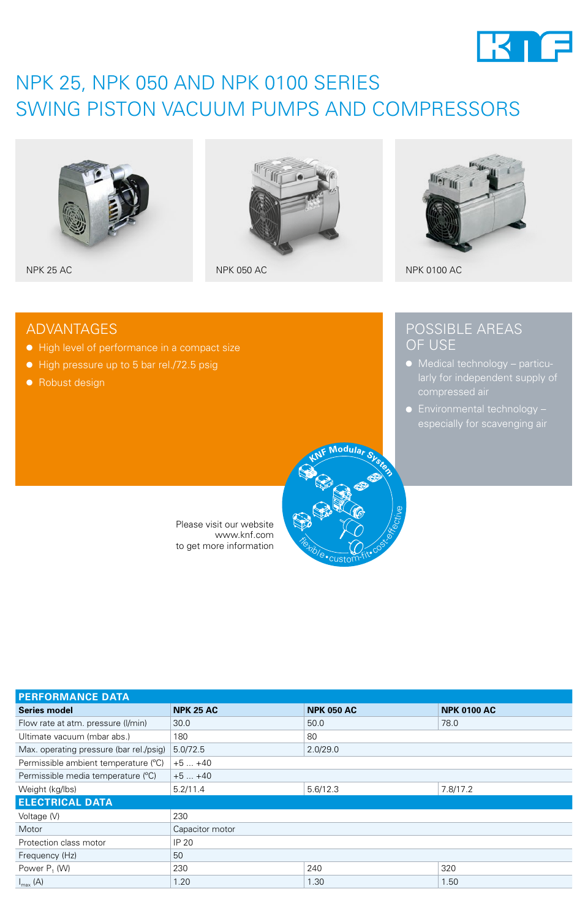

## NPK 25, NPK 050 AND NPK 0100 SERIES SWING PISTON VACUUM PUMPS AND COMPRESSORS







POSSIBLE AREAS

● Medical technology – particu-

● Environmental technology -

NPK 25 AC NPK 050 AC NPK 050 AC NPK 050 AC NPK 0100 AC

OF USE

### ADVANTAGES

- High level of performance in a compact size
- High pressure up to 5 bar rel./72.5 psig
- Robust design



Please visit our website www.knf.com to get more information

| <b>PERFORMANCE DATA</b>                 |                  |                   |                    |
|-----------------------------------------|------------------|-------------------|--------------------|
| <b>Series model</b>                     | <b>NPK 25 AC</b> | <b>NPK 050 AC</b> | <b>NPK 0100 AC</b> |
| Flow rate at atm. pressure (I/min)      | 30.0             | 50.0              | 78.0               |
| Ultimate vacuum (mbar abs.)             | 180              | 80                |                    |
| Max. operating pressure (bar rel./psig) | 5.0/72.5         | 2.0/29.0          |                    |
| Permissible ambient temperature (°C)    | $+5+40$          |                   |                    |
| Permissible media temperature (°C)      | $+5+40$          |                   |                    |
| Weight (kg/lbs)                         | 5.2/11.4         | 5.6/12.3          | 7.8/17.2           |
| <b>ELECTRICAL DATA</b>                  |                  |                   |                    |
| Voltage (V)                             | 230              |                   |                    |
| Motor                                   | Capacitor motor  |                   |                    |
| Protection class motor                  | IP 20            |                   |                    |
| Frequency (Hz)                          | 50               |                   |                    |
| Power P <sub>1</sub> (W)                | 230              | 240               | 320                |
| $I_{\text{max}}(A)$                     | 1.20             | 1.30              | 1.50               |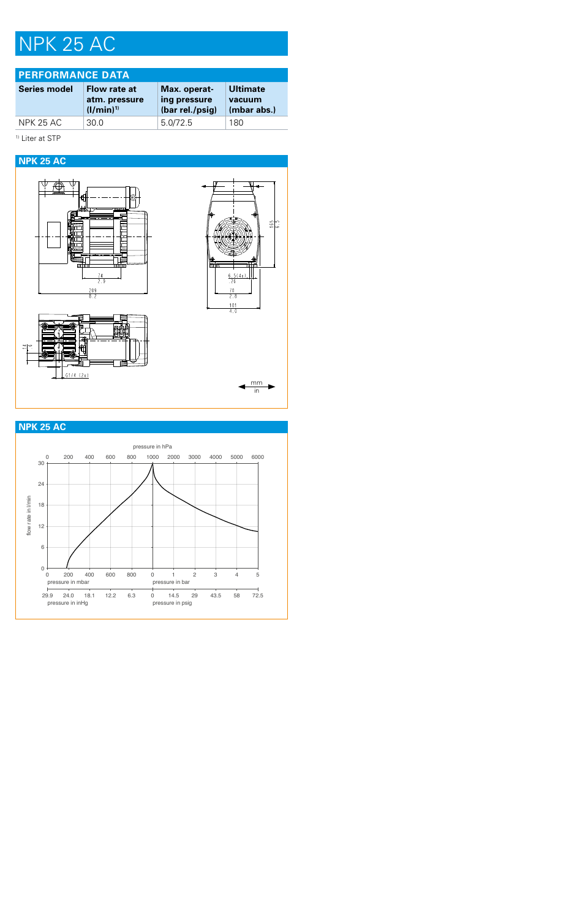## NPK 25 AC

| <b>I PERFORMANCE DATA</b> |                                                |                                                 |                                          |
|---------------------------|------------------------------------------------|-------------------------------------------------|------------------------------------------|
| <b>Series model</b>       | Flow rate at<br>atm. pressure<br>$(1/min)^{1}$ | Max. operat-<br>ing pressure<br>(bar rel./psig) | <b>Ultimate</b><br>vacuum<br>(mbar abs.) |
| <b>NPK 25 AC</b>          | 30 Q                                           | 5.0/72.5                                        | 180                                      |

### 1) Liter at STP



### **NPK 25 AC**

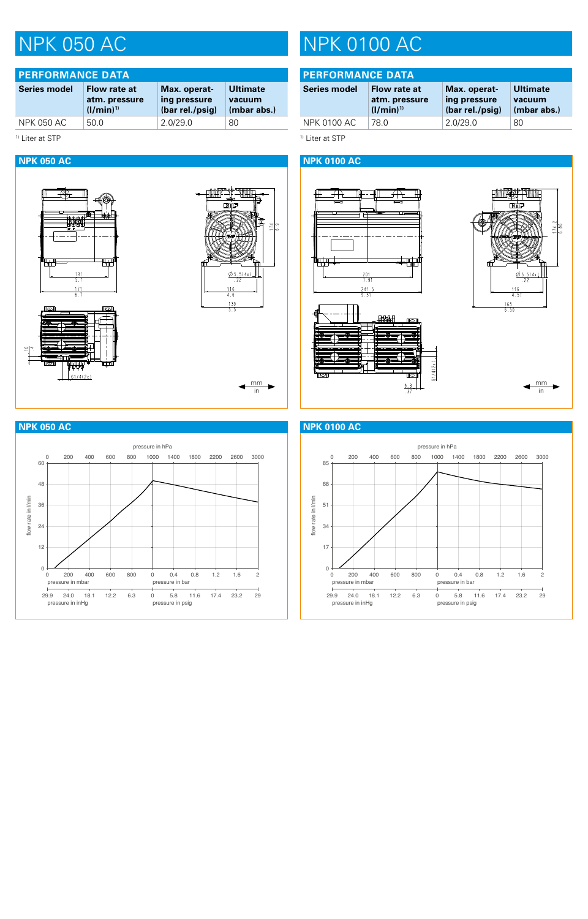| <b>PERFORMANCE DATA</b>    |                                                |                                                 |                                          |
|----------------------------|------------------------------------------------|-------------------------------------------------|------------------------------------------|
| <b>Series model</b>        | Flow rate at<br>atm. pressure<br>$(I/min)^{1}$ | Max. operat-<br>ing pressure<br>(bar rel./psig) | <b>Ultimate</b><br>vacuum<br>(mbar abs.) |
| <b>NPK 050 AC</b>          | 50.0                                           | 2.0/29.0                                        | 80                                       |
| <sup>1)</sup> Liter at STP |                                                |                                                 |                                          |

٣ū

 $\frac{13}{5}$ 

 $\frac{171}{6.7}$ 

 $61/4(2x)$ 

# NPK 050 AC NPK 0100 AC

| <b>PERFORMANCE DATA</b> |                                                |                                                 |                                          |
|-------------------------|------------------------------------------------|-------------------------------------------------|------------------------------------------|
| Series model            | Flow rate at<br>atm. pressure<br>$(1/min)^{1}$ | Max. operat-<br>ing pressure<br>(bar rel./psig) | <b>Ultimate</b><br>vacuum<br>(mbar abs.) |
| NPK 0100 AC             | 78 O                                           | 2.0/29.0                                        | 80                                       |

<sup>1)</sup> Liter at STP

### **NPK 050 AC NPK 0100 AC**



### **NPK 050 AC NPK 0100 AC**

mm in

血血素素

छाँद

**- 1111** 

 $\frac{\emptyset 5.5(4x)}{22}$ 

 $\frac{116}{4.6}$ 

 $\frac{139}{5.5}$